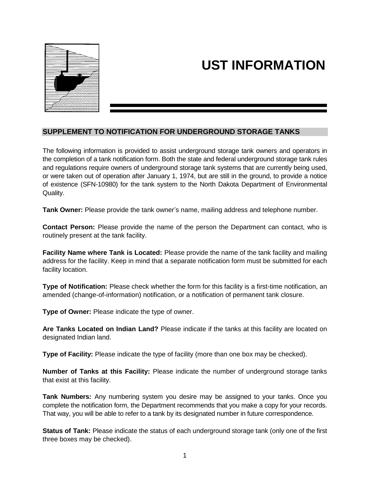

## **UST INFORMATION**

## **SUPPLEMENT TO NOTIFICATION FOR UNDERGROUND STORAGE TANKS**

The following information is provided to assist underground storage tank owners and operators in the completion of a tank notification form. Both the state and federal underground storage tank rules and regulations require owners of underground storage tank systems that are currently being used, or were taken out of operation after January 1, 1974, but are still in the ground, to provide a notice of existence (SFN-10980) for the tank system to the North Dakota Department of Environmental Quality.

**Tank Owner:** Please provide the tank owner's name, mailing address and telephone number.

**Contact Person:** Please provide the name of the person the Department can contact, who is routinely present at the tank facility.

**Facility Name where Tank is Located:** Please provide the name of the tank facility and mailing address for the facility. Keep in mind that a separate notification form must be submitted for each facility location.

**Type of Notification:** Please check whether the form for this facility is a first-time notification, an amended (change-of-information) notification, or a notification of permanent tank closure.

**Type of Owner:** Please indicate the type of owner.

**Are Tanks Located on Indian Land?** Please indicate if the tanks at this facility are located on designated Indian land.

**Type of Facility:** Please indicate the type of facility (more than one box may be checked).

**Number of Tanks at this Facility:** Please indicate the number of underground storage tanks that exist at this facility.

**Tank Numbers:** Any numbering system you desire may be assigned to your tanks. Once you complete the notification form, the Department recommends that you make a copy for your records. That way, you will be able to refer to a tank by its designated number in future correspondence.

**Status of Tank:** Please indicate the status of each underground storage tank (only one of the first three boxes may be checked).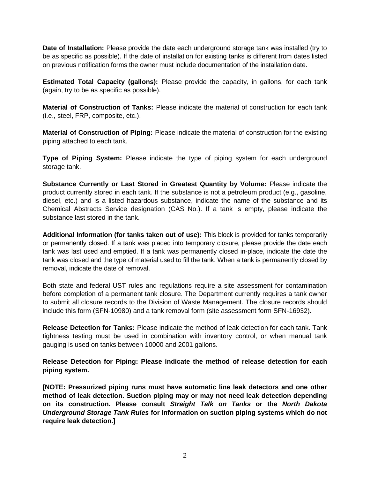**Date of Installation:** Please provide the date each underground storage tank was installed (try to be as specific as possible). If the date of installation for existing tanks is different from dates listed on previous notification forms the owner must include documentation of the installation date.

**Estimated Total Capacity (gallons):** Please provide the capacity, in gallons, for each tank (again, try to be as specific as possible).

**Material of Construction of Tanks:** Please indicate the material of construction for each tank (i.e., steel, FRP, composite, etc.).

**Material of Construction of Piping:** Please indicate the material of construction for the existing piping attached to each tank.

**Type of Piping System:** Please indicate the type of piping system for each underground storage tank.

**Substance Currently or Last Stored in Greatest Quantity by Volume:** Please indicate the product currently stored in each tank. If the substance is not a petroleum product (e.g., gasoline, diesel, etc.) and is a listed hazardous substance, indicate the name of the substance and its Chemical Abstracts Service designation (CAS No.). If a tank is empty, please indicate the substance last stored in the tank.

**Additional Information (for tanks taken out of use):** This block is provided for tanks temporarily or permanently closed. If a tank was placed into temporary closure, please provide the date each tank was last used and emptied. If a tank was permanently closed in-place, indicate the date the tank was closed and the type of material used to fill the tank. When a tank is permanently closed by removal, indicate the date of removal.

Both state and federal UST rules and regulations require a site assessment for contamination before completion of a permanent tank closure. The Department currently requires a tank owner to submit all closure records to the Division of Waste Management. The closure records should include this form (SFN-10980) and a tank removal form (site assessment form SFN-16932).

**Release Detection for Tanks:** Please indicate the method of leak detection for each tank. Tank tightness testing must be used in combination with inventory control, or when manual tank gauging is used on tanks between 10000 and 2001 gallons.

**Release Detection for Piping: Please indicate the method of release detection for each piping system.** 

**[NOTE: Pressurized piping runs must have automatic line leak detectors and one other method of leak detection. Suction piping may or may not need leak detection depending on its construction. Please consult** *Straight Talk on Tanks* **or the** *North Dakota Underground Storage Tank Rules* **for information on suction piping systems which do not require leak detection.]**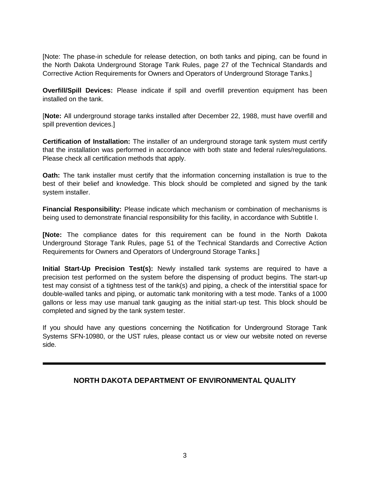[Note: The phase-in schedule for release detection, on both tanks and piping, can be found in the North Dakota Underground Storage Tank Rules, page 27 of the Technical Standards and Corrective Action Requirements for Owners and Operators of Underground Storage Tanks.]

**Overfill/Spill Devices:** Please indicate if spill and overfill prevention equipment has been installed on the tank.

[**Note:** All underground storage tanks installed after December 22, 1988, must have overfill and spill prevention devices.]

**Certification of Installation:** The installer of an underground storage tank system must certify that the installation was performed in accordance with both state and federal rules/regulations. Please check all certification methods that apply.

**Oath:** The tank installer must certify that the information concerning installation is true to the best of their belief and knowledge. This block should be completed and signed by the tank system installer.

**Financial Responsibility:** Please indicate which mechanism or combination of mechanisms is being used to demonstrate financial responsibility for this facility, in accordance with Subtitle I.

**[Note:** The compliance dates for this requirement can be found in the North Dakota Underground Storage Tank Rules, page 51 of the Technical Standards and Corrective Action Requirements for Owners and Operators of Underground Storage Tanks.]

**Initial Start-Up Precision Test(s):** Newly installed tank systems are required to have a precision test performed on the system before the dispensing of product begins. The start-up test may consist of a tightness test of the tank(s) and piping, a check of the interstitial space for double-walled tanks and piping, or automatic tank monitoring with a test mode. Tanks of a 1000 gallons or less may use manual tank gauging as the initial start-up test. This block should be completed and signed by the tank system tester.

If you should have any questions concerning the Notification for Underground Storage Tank Systems SFN-10980, or the UST rules, please contact us or view our website noted on reverse side.

## **NORTH DAKOTA DEPARTMENT OF ENVIRONMENTAL QUALITY**